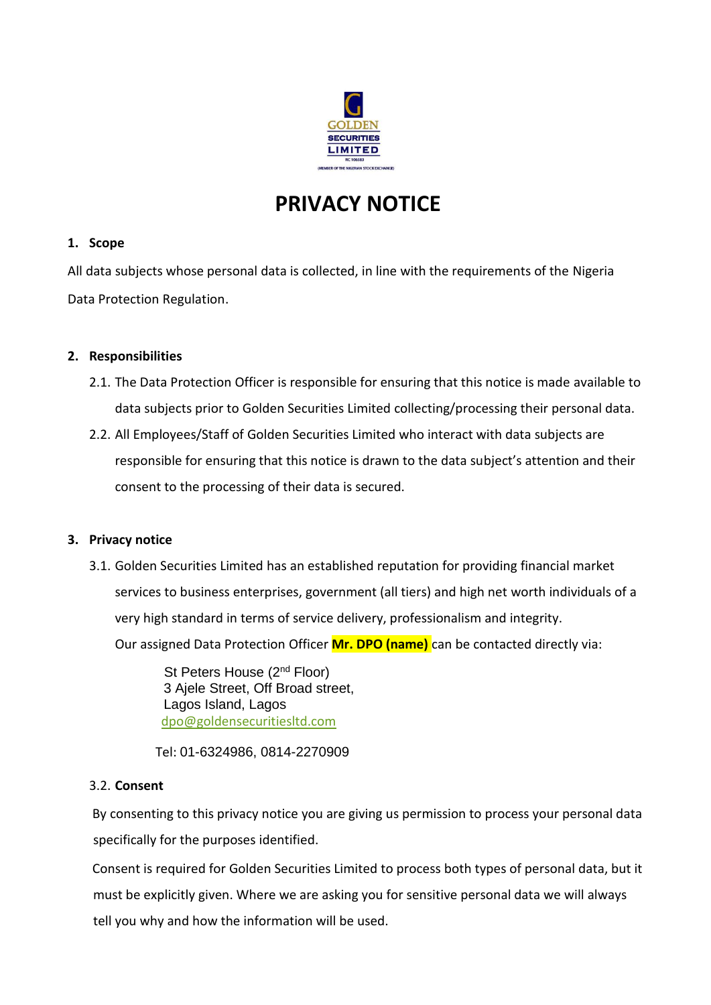

# **PRIVACY NOTICE**

## **1. Scope**

All data subjects whose personal data is collected, in line with the requirements of the Nigeria Data Protection Regulation.

## **2. Responsibilities**

- 2.1. The Data Protection Officer is responsible for ensuring that this notice is made available to data subjects prior to Golden Securities Limited collecting/processing their personal data.
- 2.2. All Employees/Staff of Golden Securities Limited who interact with data subjects are responsible for ensuring that this notice is drawn to the data subject's attention and their consent to the processing of their data is secured.

#### **3. Privacy notice**

3.1. Golden Securities Limited has an established reputation for providing financial market services to business enterprises, government (all tiers) and high net worth individuals of a very high standard in terms of service delivery, professionalism and integrity. Our assigned Data Protection Officer **Mr. DPO (name)** can be contacted directly via:

> St Peters House (2<sup>nd</sup> Floor) 3 Ajele Street, Off Broad street, Lagos Island, Lagos [dpo@goldensecuritiesltd.com](mailto:dpo@fsl.ng)

Tel: 01-6324986, 0814-2270909

# 3.2. **Consent**

By consenting to this privacy notice you are giving us permission to process your personal data specifically for the purposes identified.

Consent is required for Golden Securities Limited to process both types of personal data, but it must be explicitly given. Where we are asking you for sensitive personal data we will always tell you why and how the information will be used.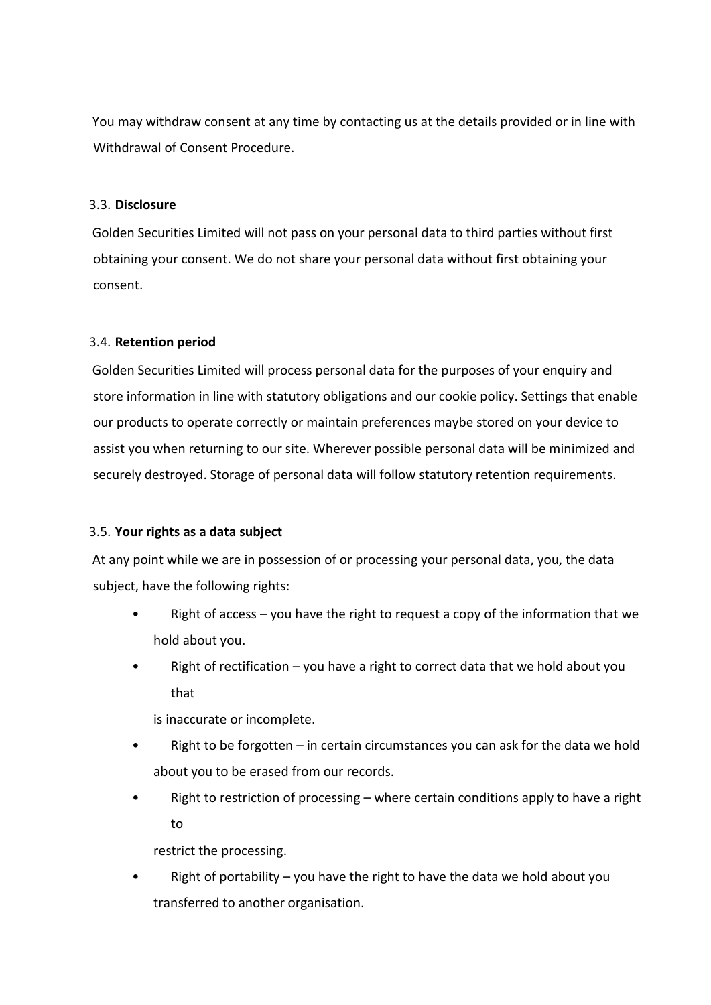You may withdraw consent at any time by contacting us at the details provided or in line with Withdrawal of Consent Procedure.

#### 3.3. **Disclosure**

Golden Securities Limited will not pass on your personal data to third parties without first obtaining your consent. We do not share your personal data without first obtaining your consent.

#### 3.4. **Retention period**

Golden Securities Limited will process personal data for the purposes of your enquiry and store information in line with statutory obligations and our cookie policy. Settings that enable our products to operate correctly or maintain preferences maybe stored on your device to assist you when returning to our site. Wherever possible personal data will be minimized and securely destroyed. Storage of personal data will follow statutory retention requirements.

#### 3.5. **Your rights as a data subject**

At any point while we are in possession of or processing your personal data, you, the data subject, have the following rights:

- Right of access you have the right to request a copy of the information that we hold about you.
- Right of rectification  $-$  you have a right to correct data that we hold about you that

is inaccurate or incomplete.

- Right to be forgotten  $-$  in certain circumstances you can ask for the data we hold about you to be erased from our records.
- Right to restriction of processing where certain conditions apply to have a right to

restrict the processing.

Right of portability  $-$  you have the right to have the data we hold about you transferred to another organisation.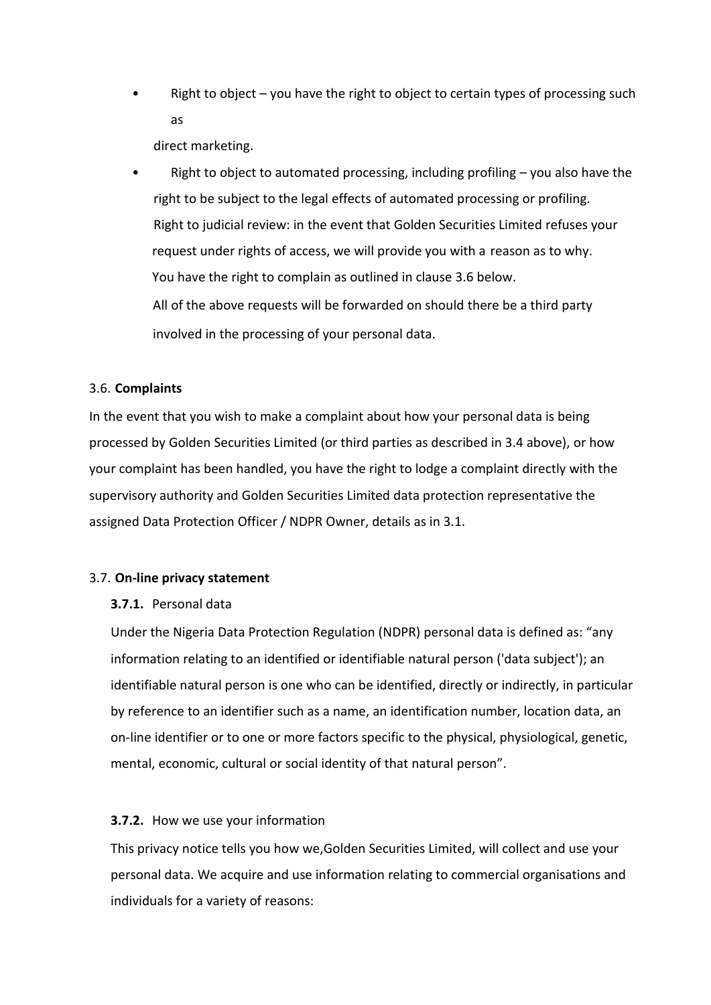Right to object  $-$  you have the right to object to certain types of processing such as

direct marketing.

Right to object to automated processing, including profiling  $-$  you also have the right to be subject to the legal effects of automated processing or profiling. Right to judicial review: in the event that Golden Securities Limited refuses your request under rights of access, we will provide you with a reason as to why. You have the right to complain as outlined in clause 3.6 below. All of the above requests will be forwarded on should there be a third party involved in the processing of your personal data.

## 3.6. **Complaints**

In the event that you wish to make a complaint about how your personal data is being processed by Golden Securities Limited (or third parties as described in 3.4 above), or how your complaint has been handled, you have the right to lodge a complaint directly with the supervisory authority and Golden Securities Limited data protection representative the assigned Data Protection Officer / NDPR Owner, details as in 3.1.

#### 3.7. **On-line privacy statement**

#### **3.7.1.** Personal data

Under the Nigeria Data Protection Regulation (NDPR) personal data is defined as: "any information relating to an identified or identifiable natural person ('data subject'); an identifiable natural person is one who can be identified, directly or indirectly, in particular by reference to an identifier such as a name, an identification number, location data, an on-line identifier or to one or more factors specific to the physical, physiological, genetic, mental, economic, cultural or social identity of that natural person".

#### **3.7.2.** How we use your information

This privacy notice tells you how we,Golden Securities Limited, will collect and use your personal data. We acquire and use information relating to commercial organisations and individuals for a variety of reasons: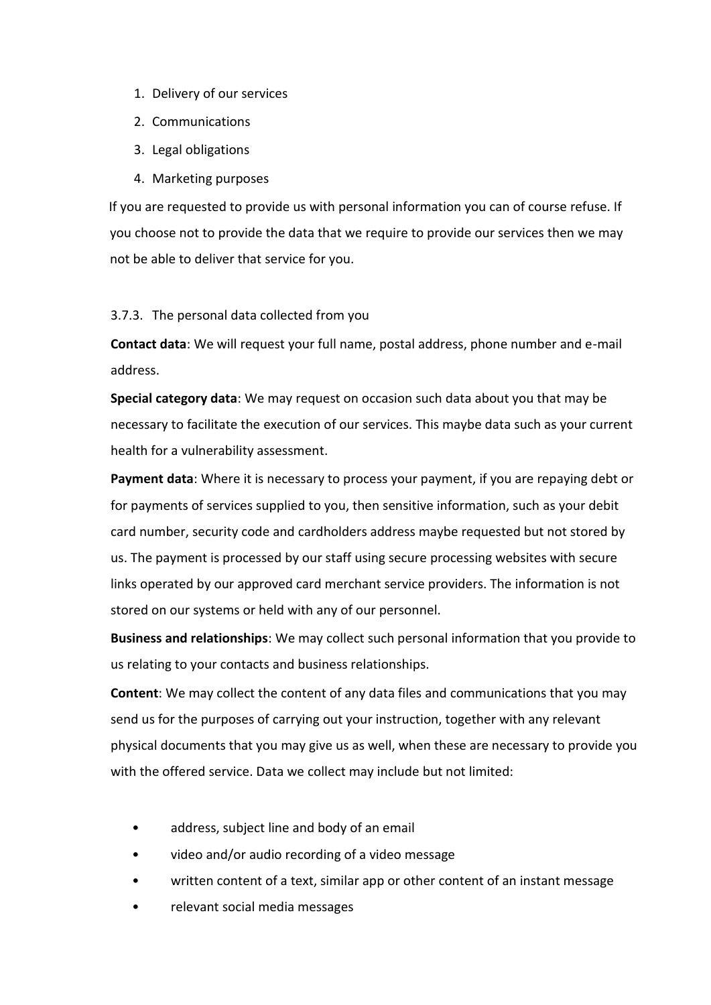- 1. Delivery of our services
- 2. Communications
- 3. Legal obligations
- 4. Marketing purposes

If you are requested to provide us with personal information you can of course refuse. If you choose not to provide the data that we require to provide our services then we may not be able to deliver that service for you.

3.7.3. The personal data collected from you

**Contact data**: We will request your full name, postal address, phone number and e-mail address.

**Special category data**: We may request on occasion such data about you that may be necessary to facilitate the execution of our services. This maybe data such as your current health for a vulnerability assessment.

**Payment data**: Where it is necessary to process your payment, if you are repaying debt or for payments of services supplied to you, then sensitive information, such as your debit card number, security code and cardholders address maybe requested but not stored by us. The payment is processed by our staff using secure processing websites with secure links operated by our approved card merchant service providers. The information is not stored on our systems or held with any of our personnel.

**Business and relationships**: We may collect such personal information that you provide to us relating to your contacts and business relationships.

**Content**: We may collect the content of any data files and communications that you may send us for the purposes of carrying out your instruction, together with any relevant physical documents that you may give us as well, when these are necessary to provide you with the offered service. Data we collect may include but not limited:

- address, subject line and body of an email
- video and/or audio recording of a video message
- written content of a text, similar app or other content of an instant message
- relevant social media messages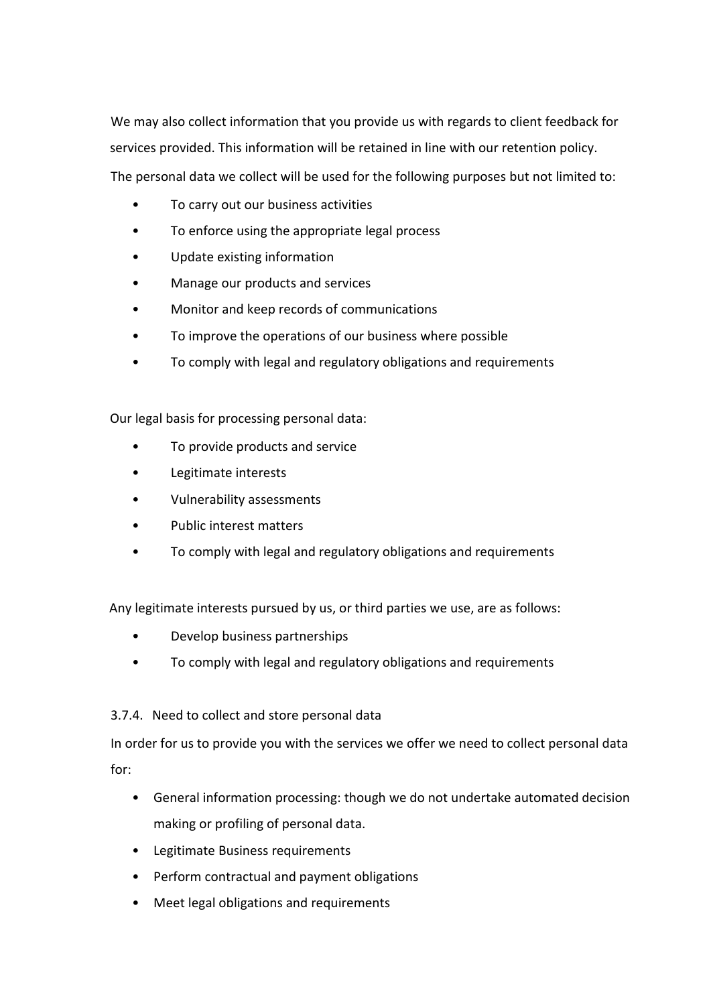We may also collect information that you provide us with regards to client feedback for services provided. This information will be retained in line with our retention policy. The personal data we collect will be used for the following purposes but not limited to:

- To carry out our business activities
- To enforce using the appropriate legal process
- Update existing information
- Manage our products and services
- Monitor and keep records of communications
- To improve the operations of our business where possible
- To comply with legal and regulatory obligations and requirements

Our legal basis for processing personal data:

- To provide products and service
- Legitimate interests
- Vulnerability assessments
- Public interest matters
- To comply with legal and regulatory obligations and requirements

Any legitimate interests pursued by us, or third parties we use, are as follows:

- Develop business partnerships
- To comply with legal and regulatory obligations and requirements

# 3.7.4. Need to collect and store personal data

In order for us to provide you with the services we offer we need to collect personal data for:

- General information processing: though we do not undertake automated decision making or profiling of personal data.
- Legitimate Business requirements
- Perform contractual and payment obligations
- Meet legal obligations and requirements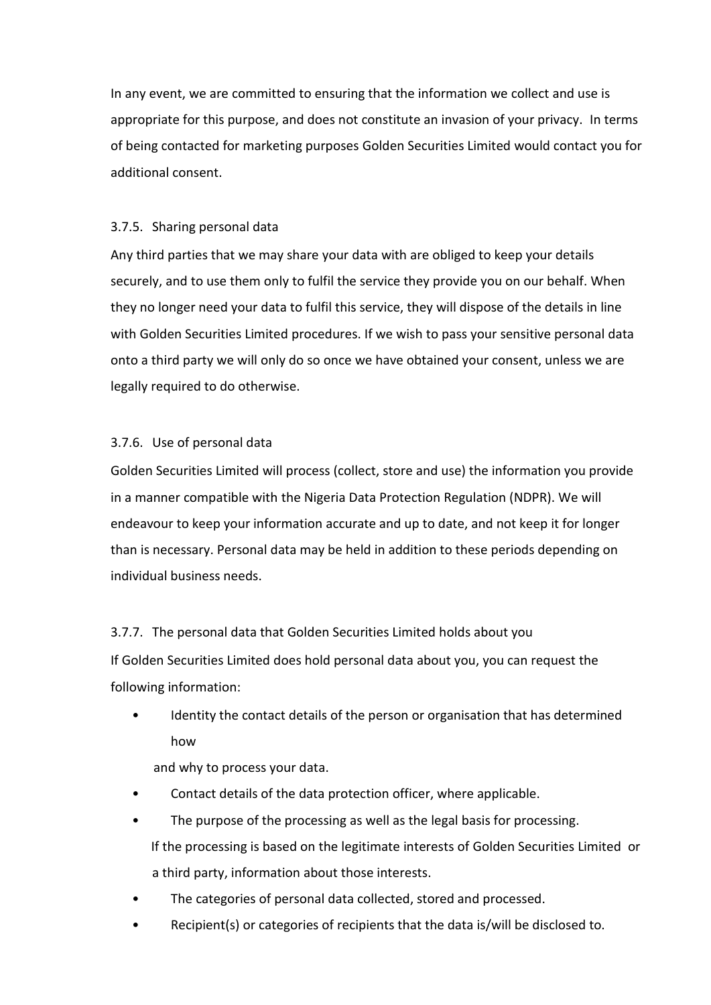In any event, we are committed to ensuring that the information we collect and use is appropriate for this purpose, and does not constitute an invasion of your privacy. In terms of being contacted for marketing purposes Golden Securities Limited would contact you for additional consent.

#### 3.7.5. Sharing personal data

Any third parties that we may share your data with are obliged to keep your details securely, and to use them only to fulfil the service they provide you on our behalf. When they no longer need your data to fulfil this service, they will dispose of the details in line with Golden Securities Limited procedures. If we wish to pass your sensitive personal data onto a third party we will only do so once we have obtained your consent, unless we are legally required to do otherwise.

#### 3.7.6. Use of personal data

Golden Securities Limited will process (collect, store and use) the information you provide in a manner compatible with the Nigeria Data Protection Regulation (NDPR). We will endeavour to keep your information accurate and up to date, and not keep it for longer than is necessary. Personal data may be held in addition to these periods depending on individual business needs.

#### 3.7.7. The personal data that Golden Securities Limited holds about you

If Golden Securities Limited does hold personal data about you, you can request the following information:

• Identity the contact details of the person or organisation that has determined how

and why to process your data.

- Contact details of the data protection officer, where applicable.
- The purpose of the processing as well as the legal basis for processing. If the processing is based on the legitimate interests of Golden Securities Limited or a third party, information about those interests.
- The categories of personal data collected, stored and processed.
- Recipient(s) or categories of recipients that the data is/will be disclosed to.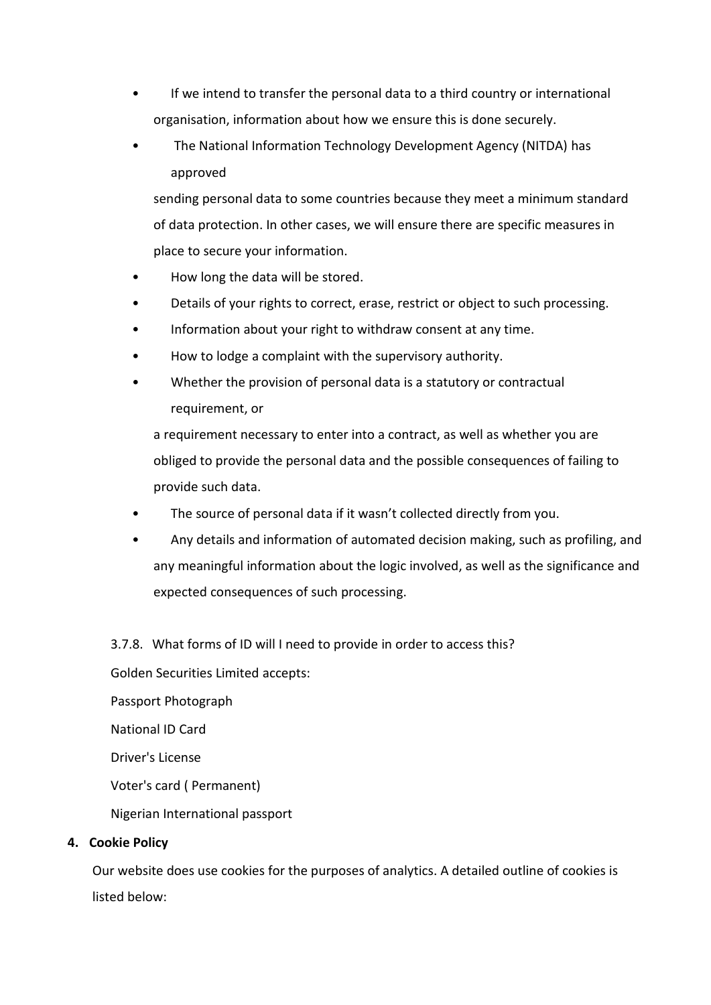- If we intend to transfer the personal data to a third country or international organisation, information about how we ensure this is done securely.
- The National Information Technology Development Agency (NITDA) has approved

sending personal data to some countries because they meet a minimum standard of data protection. In other cases, we will ensure there are specific measures in place to secure your information.

- How long the data will be stored.
- Details of your rights to correct, erase, restrict or object to such processing.
- Information about your right to withdraw consent at any time.
- How to lodge a complaint with the supervisory authority.
- Whether the provision of personal data is a statutory or contractual requirement, or

a requirement necessary to enter into a contract, as well as whether you are obliged to provide the personal data and the possible consequences of failing to provide such data.

- The source of personal data if it wasn't collected directly from you.
- Any details and information of automated decision making, such as profiling, and any meaningful information about the logic involved, as well as the significance and expected consequences of such processing.
- 3.7.8. What forms of ID will I need to provide in order to access this?

Golden Securities Limited accepts:

Passport Photograph

National ID Card

Driver's License

Voter's card ( Permanent)

Nigerian International passport

# **4. Cookie Policy**

Our website does use cookies for the purposes of analytics. A detailed outline of cookies is listed below: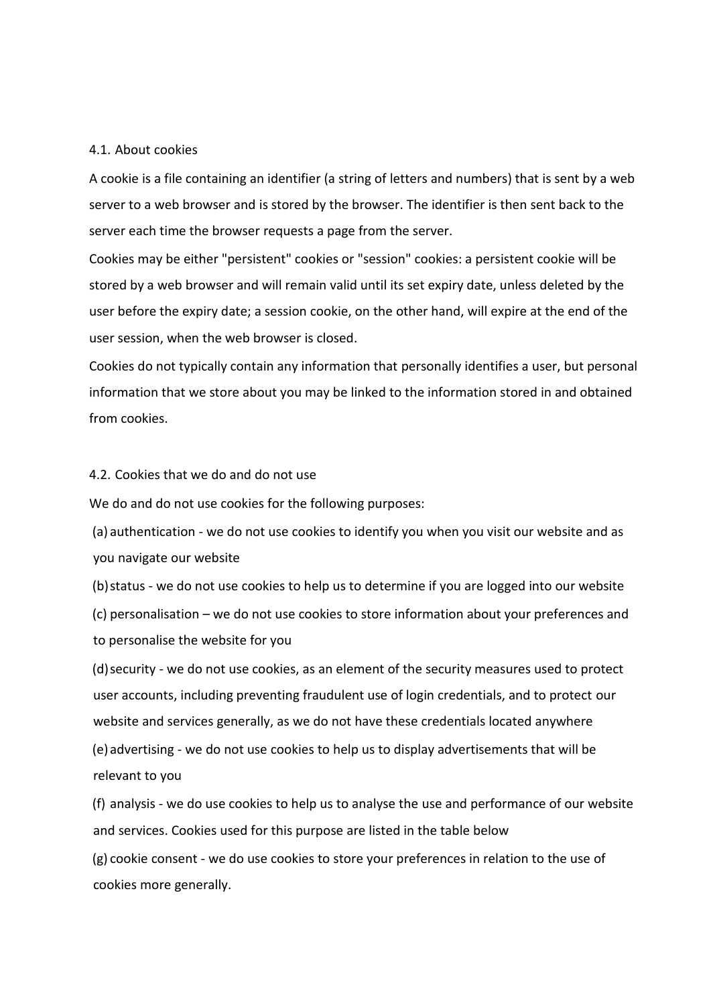#### 4.1. About cookies

A cookie is a file containing an identifier (a string of letters and numbers) that is sent by a web server to a web browser and is stored by the browser. The identifier is then sent back to the server each time the browser requests a page from the server.

Cookies may be either "persistent" cookies or "session" cookies: a persistent cookie will be stored by a web browser and will remain valid until its set expiry date, unless deleted by the user before the expiry date; a session cookie, on the other hand, will expire at the end of the user session, when the web browser is closed.

Cookies do not typically contain any information that personally identifies a user, but personal information that we store about you may be linked to the information stored in and obtained from cookies.

#### 4.2. Cookies that we do and do not use

We do and do not use cookies for the following purposes:

(a) authentication - we do not use cookies to identify you when you visit our website and as you navigate our website

(b)status - we do not use cookies to help us to determine if you are logged into our website

(c) personalisation – we do not use cookies to store information about your preferences and to personalise the website for you

(d)security - we do not use cookies, as an element of the security measures used to protect user accounts, including preventing fraudulent use of login credentials, and to protect our website and services generally, as we do not have these credentials located anywhere

(e)advertising - we do not use cookies to help us to display advertisements that will be relevant to you

(f) analysis - we do use cookies to help us to analyse the use and performance of our website and services. Cookies used for this purpose are listed in the table below

(g) cookie consent - we do use cookies to store your preferences in relation to the use of cookies more generally.